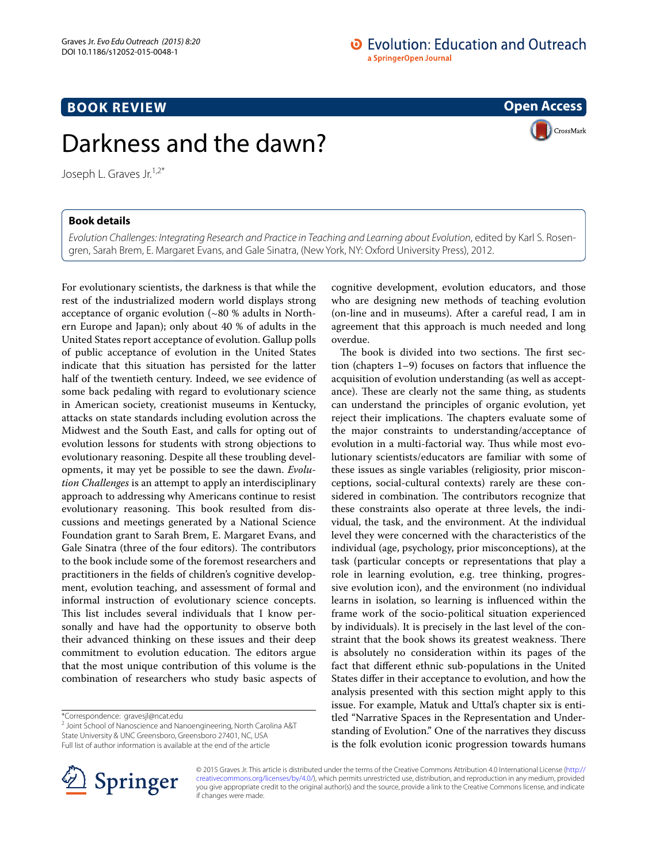# **BOOK REVIEW**

# Darkness and the dawn?

Joseph L. Graves Jr.<sup>1,2\*</sup>

### **Book details**

*Evolution Challenges: Integrating Research and Practice in Teaching and Learning about Evolution*, edited by Karl S. Rosengren, Sarah Brem, E. Margaret Evans, and Gale Sinatra, (New York, NY: Oxford University Press), 2012.

For evolutionary scientists, the darkness is that while the rest of the industrialized modern world displays strong acceptance of organic evolution (~80 % adults in Northern Europe and Japan); only about 40 % of adults in the United States report acceptance of evolution. Gallup polls of public acceptance of evolution in the United States indicate that this situation has persisted for the latter half of the twentieth century. Indeed, we see evidence of some back pedaling with regard to evolutionary science in American society, creationist museums in Kentucky, attacks on state standards including evolution across the Midwest and the South East, and calls for opting out of evolution lessons for students with strong objections to evolutionary reasoning. Despite all these troubling developments, it may yet be possible to see the dawn. *Evolution Challenges* is an attempt to apply an interdisciplinary approach to addressing why Americans continue to resist evolutionary reasoning. This book resulted from discussions and meetings generated by a National Science Foundation grant to Sarah Brem, E. Margaret Evans, and Gale Sinatra (three of the four editors). The contributors to the book include some of the foremost researchers and practitioners in the fields of children's cognitive development, evolution teaching, and assessment of formal and informal instruction of evolutionary science concepts. This list includes several individuals that I know personally and have had the opportunity to observe both their advanced thinking on these issues and their deep commitment to evolution education. The editors argue that the most unique contribution of this volume is the combination of researchers who study basic aspects of

\*Correspondence: gravesjl@ncat.edu

<sup>2</sup> Joint School of Nanoscience and Nanoengineering, North Carolina A&T State University & UNC Greensboro, Greensboro 27401, NC, USA Full list of author information is available at the end of the article

cognitive development, evolution educators, and those who are designing new methods of teaching evolution (on-line and in museums). After a careful read, I am in agreement that this approach is much needed and long overdue.

The book is divided into two sections. The first section (chapters 1–9) focuses on factors that influence the acquisition of evolution understanding (as well as acceptance). These are clearly not the same thing, as students can understand the principles of organic evolution, yet reject their implications. The chapters evaluate some of the major constraints to understanding/acceptance of evolution in a multi-factorial way. Thus while most evolutionary scientists/educators are familiar with some of these issues as single variables (religiosity, prior misconceptions, social-cultural contexts) rarely are these considered in combination. The contributors recognize that these constraints also operate at three levels, the individual, the task, and the environment. At the individual level they were concerned with the characteristics of the individual (age, psychology, prior misconceptions), at the task (particular concepts or representations that play a role in learning evolution, e.g. tree thinking, progressive evolution icon), and the environment (no individual learns in isolation, so learning is influenced within the frame work of the socio-political situation experienced by individuals). It is precisely in the last level of the constraint that the book shows its greatest weakness. There is absolutely no consideration within its pages of the fact that different ethnic sub-populations in the United States differ in their acceptance to evolution, and how the analysis presented with this section might apply to this issue. For example, Matuk and Uttal's chapter six is entitled "Narrative Spaces in the Representation and Understanding of Evolution." One of the narratives they discuss is the folk evolution iconic progression towards humans



© 2015 Graves Jr. This article is distributed under the terms of the Creative Commons Attribution 4.0 International License [\(http://](http://creativecommons.org/licenses/by/4.0/) [creativecommons.org/licenses/by/4.0/](http://creativecommons.org/licenses/by/4.0/)), which permits unrestricted use, distribution, and reproduction in any medium, provided you give appropriate credit to the original author(s) and the source, provide a link to the Creative Commons license, and indicate if changes were made.

**Open Access**

CrossMark